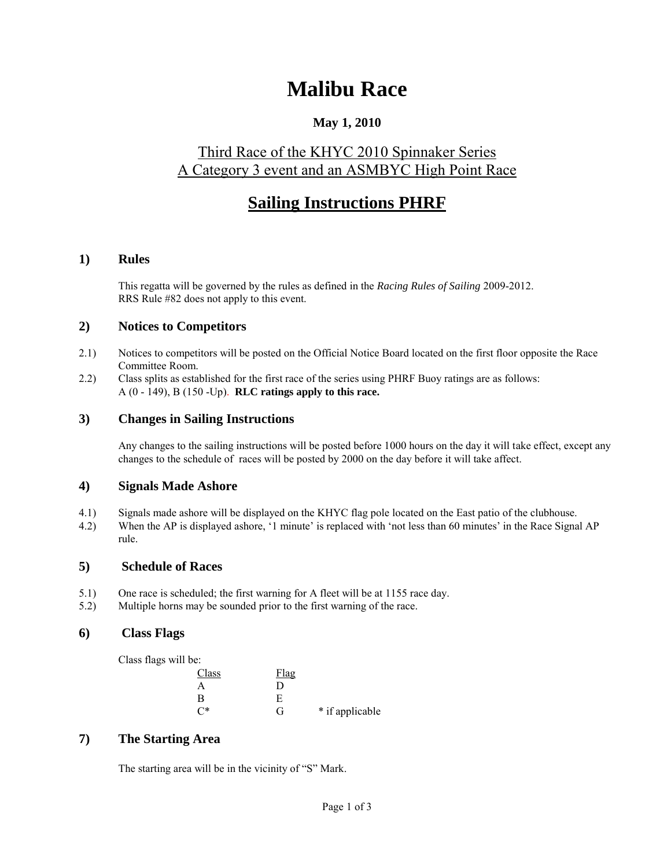# **Malibu Race**

### **May 1, 2010**

### Third Race of the KHYC 2010 Spinnaker Series A Category 3 event and an ASMBYC High Point Race

## **Sailing Instructions PHRF**

#### **1) Rules**

This regatta will be governed by the rules as defined in the *Racing Rules of Sailing* 2009-2012. RRS Rule #82 does not apply to this event.

#### **2) Notices to Competitors**

- 2.1) Notices to competitors will be posted on the Official Notice Board located on the first floor opposite the Race Committee Room.
- 2.2) Class splits as established for the first race of the series using PHRF Buoy ratings are as follows: A (0 - 149), B (150 -Up). **RLC ratings apply to this race.**

#### **3) Changes in Sailing Instructions**

Any changes to the sailing instructions will be posted before 1000 hours on the day it will take effect, except any changes to the schedule of races will be posted by 2000 on the day before it will take affect.

#### **4) Signals Made Ashore**

- 4.1) Signals made ashore will be displayed on the KHYC flag pole located on the East patio of the clubhouse.
- 4.2) When the AP is displayed ashore, <sup>6</sup>1 minute' is replaced with 'not less than 60 minutes' in the Race Signal AP rule.

#### **5) Schedule of Races**

- 5.1) One race is scheduled; the first warning for A fleet will be at 1155 race day.
- 5.2) Multiple horns may be sounded prior to the first warning of the race.

#### **6) Class Flags**

Class flags will be:

| Class    | <b>Flag</b> |                 |
|----------|-------------|-----------------|
| А        | ו ו         |                 |
| в        | E           |                 |
| $\cap^*$ | G           | * if applicable |

#### **7) The Starting Area**

The starting area will be in the vicinity of "S" Mark.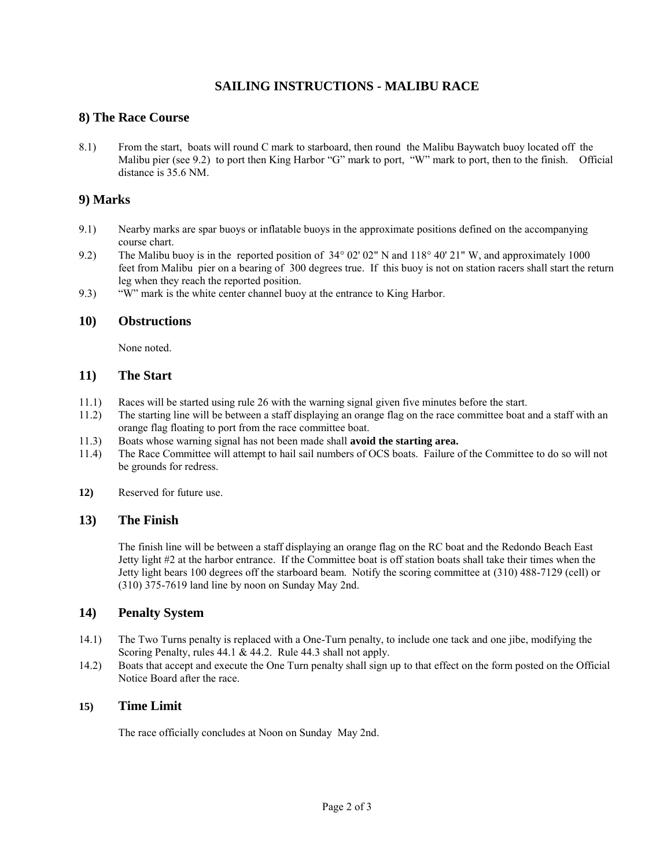#### **SAILING INSTRUCTIONS - MALIBU RACE**

#### **8) The Race Course**

8.1) From the start, boats will round C mark to starboard, then round the Malibu Baywatch buoy located off the Malibu pier (see 9.2) to port then King Harbor "G" mark to port, "W" mark to port, then to the finish. Official distance is 35.6 NM.

#### **9) Marks**

- 9.1) Nearby marks are spar buoys or inflatable buoys in the approximate positions defined on the accompanying course chart.
- 9.2) The Malibu buoy is in the reported position of 34° 02' 02" N and 118° 40' 21" W, and approximately 1000 feet from Malibu pier on a bearing of 300 degrees true. If this buoy is not on station racers shall start the return leg when they reach the reported position.
- 9.3) "W" mark is the white center channel buoy at the entrance to King Harbor.

#### **10) Obstructions**

None noted.

#### **11) The Start**

- 11.1) Races will be started using rule 26 with the warning signal given five minutes before the start.
- 11.2) The starting line will be between a staff displaying an orange flag on the race committee boat and a staff with an orange flag floating to port from the race committee boat.
- 11.3) Boats whose warning signal has not been made shall **avoid the starting area.**
- 11.4) The Race Committee will attempt to hail sail numbers of OCS boats. Failure of the Committee to do so will not be grounds for redress.
- **12)** Reserved for future use.

#### **13) The Finish**

The finish line will be between a staff displaying an orange flag on the RC boat and the Redondo Beach East Jetty light #2 at the harbor entrance. If the Committee boat is off station boats shall take their times when the Jetty light bears 100 degrees off the starboard beam. Notify the scoring committee at (310) 488-7129 (cell) or (310) 375-7619 land line by noon on Sunday May 2nd.

#### **14) Penalty System**

- 14.1) The Two Turns penalty is replaced with a One-Turn penalty, to include one tack and one jibe, modifying the Scoring Penalty, rules 44.1 & 44.2. Rule 44.3 shall not apply.
- 14.2) Boats that accept and execute the One Turn penalty shall sign up to that effect on the form posted on the Official Notice Board after the race.

#### **15) Time Limit**

The race officially concludes at Noon on Sunday May 2nd.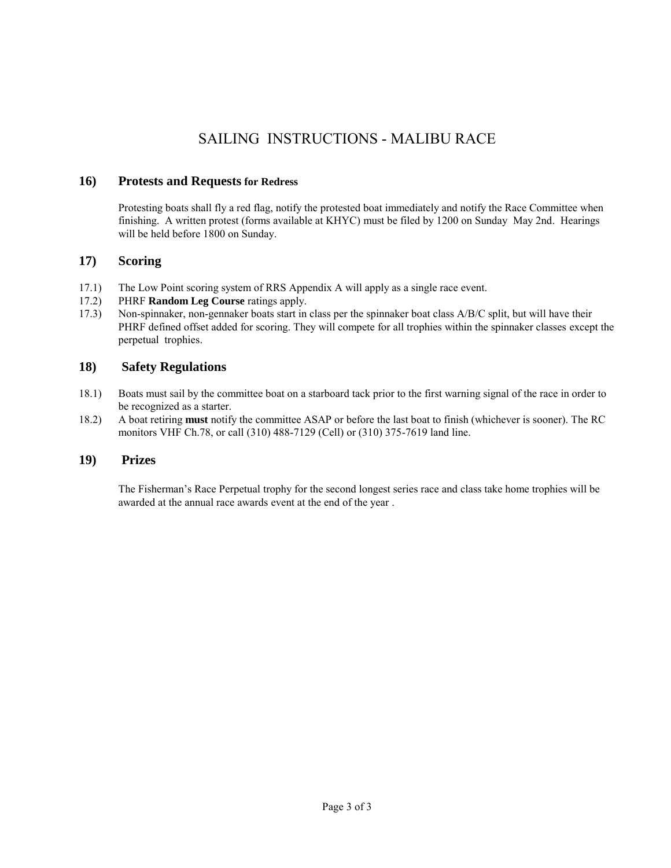### SAILING INSTRUCTIONS - MALIBU RACE

#### **16) Protests and Requests for Redress**

Protesting boats shall fly a red flag, notify the protested boat immediately and notify the Race Committee when finishing. A written protest (forms available at KHYC) must be filed by 1200 on Sunday May 2nd. Hearings will be held before 1800 on Sunday.

#### **17) Scoring**

- 17.1) The Low Point scoring system of RRS Appendix A will apply as a single race event.
- 17.2) PHRF **Random Leg Course** ratings apply.
- 17.3) Non-spinnaker, non-gennaker boats start in class per the spinnaker boat class A/B/C split, but will have their PHRF defined offset added for scoring. They will compete for all trophies within the spinnaker classes except the perpetual trophies.

#### **18) Safety Regulations**

- 18.1) Boats must sail by the committee boat on a starboard tack prior to the first warning signal of the race in order to be recognized as a starter.
- 18.2) A boat retiring **must** notify the committee ASAP or before the last boat to finish (whichever is sooner). The RC monitors VHF Ch.78, or call (310) 488-7129 (Cell) or (310) 375-7619 land line.

#### **19) Prizes**

The Fisherman"s Race Perpetual trophy for the second longest series race and class take home trophies will be awarded at the annual race awards event at the end of the year .